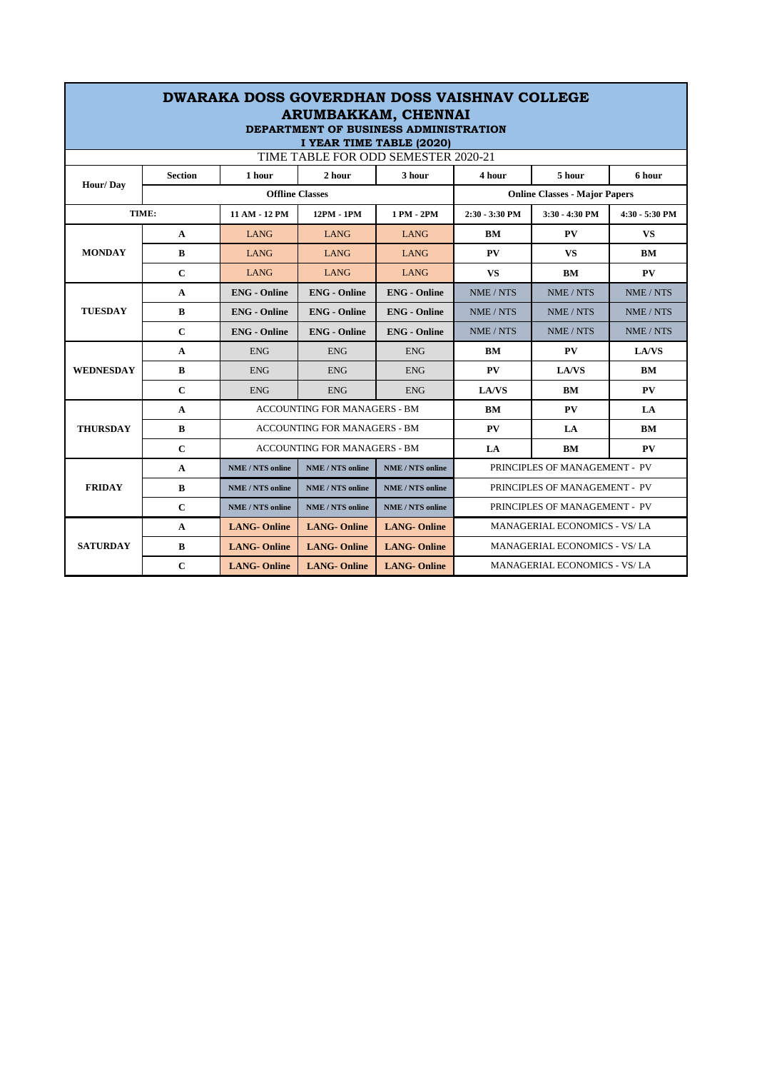| <b>DWARAKA DOSS GOVERDHAN DOSS VAISHNAV COLLEGE</b><br>ARUMBAKKAM, CHENNAI<br>DEPARTMENT OF BUSINESS ADMINISTRATION<br>I YEAR TIME TABLE (2020) |                |                                     |                         |                                      |                                     |                |                |  |  |
|-------------------------------------------------------------------------------------------------------------------------------------------------|----------------|-------------------------------------|-------------------------|--------------------------------------|-------------------------------------|----------------|----------------|--|--|
| TIME TABLE FOR ODD SEMESTER 2020-21                                                                                                             |                |                                     |                         |                                      |                                     |                |                |  |  |
| Hour/Day                                                                                                                                        | <b>Section</b> | 1 hour                              | 2 hour                  | 3 hour                               | 4 hour                              | 5 hour         | 6 hour         |  |  |
|                                                                                                                                                 |                | <b>Offline Classes</b>              |                         | <b>Online Classes - Major Papers</b> |                                     |                |                |  |  |
| TIME:                                                                                                                                           |                | 11 AM - 12 PM                       | 12PM - 1PM              | 1 PM - 2PM                           | 2:30 - 3:30 PM                      | 3:30 - 4:30 PM | 4:30 - 5:30 PM |  |  |
| <b>MONDAY</b>                                                                                                                                   | $\mathbf{A}$   | <b>LANG</b>                         | <b>LANG</b>             | <b>LANG</b>                          | BM                                  | <b>PV</b>      | <b>VS</b>      |  |  |
|                                                                                                                                                 | $\bf{B}$       | <b>LANG</b>                         | <b>LANG</b>             | <b>LANG</b>                          | PV                                  | <b>VS</b>      | <b>BM</b>      |  |  |
|                                                                                                                                                 | $\mathbf C$    | <b>LANG</b>                         | <b>LANG</b>             | <b>LANG</b>                          | <b>VS</b>                           | BM             | PV             |  |  |
| <b>TUESDAY</b>                                                                                                                                  | A              | <b>ENG</b> - Online                 | <b>ENG</b> - Online     | <b>ENG</b> - Online                  | NME / NTS                           | NME / NTS      | NME / NTS      |  |  |
|                                                                                                                                                 | B              | <b>ENG</b> - Online                 | <b>ENG</b> - Online     | <b>ENG</b> - Online                  | NME / NTS                           | NME / NTS      | NME / NTS      |  |  |
|                                                                                                                                                 | $\mathbf C$    | <b>ENG</b> - Online                 | <b>ENG</b> - Online     | <b>ENG</b> - Online                  | NME / NTS                           | NME / NTS      | NME / NTS      |  |  |
|                                                                                                                                                 | A              | <b>ENG</b>                          | <b>ENG</b>              | <b>ENG</b>                           | BM                                  | PV             | LA/VS          |  |  |
| <b>WEDNESDAY</b>                                                                                                                                | B              | <b>ENG</b>                          | <b>ENG</b>              | <b>ENG</b>                           | PV                                  | <b>LA/VS</b>   | BМ             |  |  |
|                                                                                                                                                 | $\mathbf C$    | <b>ENG</b>                          | <b>ENG</b>              | <b>ENG</b>                           | <b>LA/VS</b>                        | BM             | PV             |  |  |
| <b>THURSDAY</b>                                                                                                                                 | A              | <b>ACCOUNTING FOR MANAGERS - BM</b> |                         |                                      | BM                                  | PV             | LA             |  |  |
|                                                                                                                                                 | $\bf{B}$       | <b>ACCOUNTING FOR MANAGERS - BM</b> |                         |                                      | PV                                  | LA.            | <b>BM</b>      |  |  |
|                                                                                                                                                 | $\mathbf C$    | <b>ACCOUNTING FOR MANAGERS - BM</b> |                         |                                      | LA                                  | BM             | PV             |  |  |
| <b>FRIDAY</b>                                                                                                                                   | A              | <b>NME / NTS online</b>             | <b>NME / NTS online</b> | <b>NME/NTS</b> online                | PRINCIPLES OF MANAGEMENT - PV       |                |                |  |  |
|                                                                                                                                                 | B              | <b>NME / NTS online</b>             | <b>NME / NTS online</b> | <b>NME/NTS</b> online                | PRINCIPLES OF MANAGEMENT - PV       |                |                |  |  |
|                                                                                                                                                 | $\mathbf C$    | <b>NME / NTS online</b>             | <b>NME / NTS online</b> | NME / NTS online                     | PRINCIPLES OF MANAGEMENT - PV       |                |                |  |  |
| <b>SATURDAY</b>                                                                                                                                 | A              | <b>LANG-Online</b>                  | <b>LANG-Online</b>      | <b>LANG-Online</b>                   | MANAGERIAL ECONOMICS - VS/LA        |                |                |  |  |
|                                                                                                                                                 | B              | <b>LANG-Online</b>                  | <b>LANG-Online</b>      | <b>LANG-Online</b>                   | MANAGERIAL ECONOMICS - VS/LA        |                |                |  |  |
|                                                                                                                                                 | $\mathbf C$    | <b>LANG-Online</b>                  | <b>LANG-Online</b>      | <b>LANG-Online</b>                   | <b>MANAGERIAL ECONOMICS - VS/LA</b> |                |                |  |  |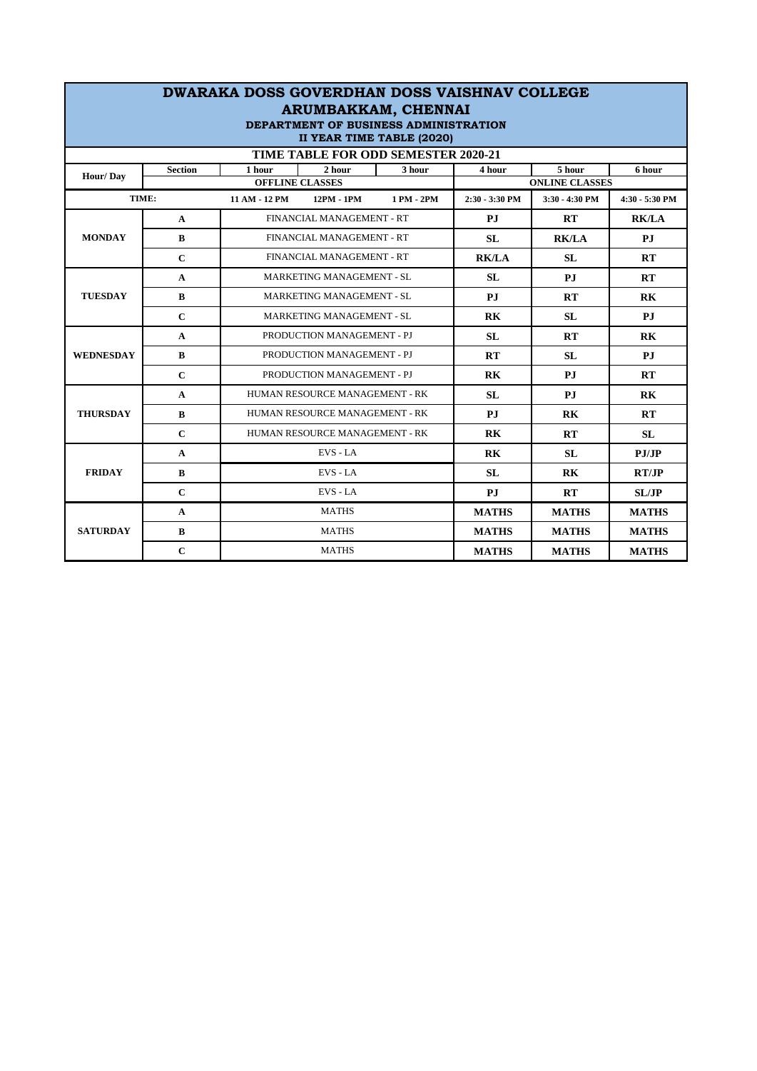| <b>DWARAKA DOSS GOVERDHAN DOSS VAISHNAV COLLEGE</b><br>ARUMBAKKAM, CHENNAI<br>DEPARTMENT OF BUSINESS ADMINISTRATION<br>II YEAR TIME TABLE (2020)<br>TIME TABLE FOR ODD SEMESTER 2020-21 |             |                                                      |            |              |                |                                 |                |  |
|-----------------------------------------------------------------------------------------------------------------------------------------------------------------------------------------|-------------|------------------------------------------------------|------------|--------------|----------------|---------------------------------|----------------|--|
| <b>Section</b><br>Hour/Day                                                                                                                                                              |             | 2 hour<br>1 hour<br>3 hour<br><b>OFFLINE CLASSES</b> |            |              | 4 hour         | 5 hour<br><b>ONLINE CLASSES</b> | 6 hour         |  |
| TIME:                                                                                                                                                                                   |             | 11 AM - 12 PM                                        | 12PM - 1PM | 1 PM - 2PM   | 2:30 - 3:30 PM | 3:30 - 4:30 PM                  | 4:30 - 5:30 PM |  |
|                                                                                                                                                                                         | A           | FINANCIAL MANAGEMENT - RT                            |            | P.I          | RT             | <b>RK/LA</b>                    |                |  |
| <b>MONDAY</b>                                                                                                                                                                           | B           | FINANCIAL MANAGEMENT - RT                            |            |              | <b>SL</b>      | <b>RK/LA</b>                    | PJ             |  |
|                                                                                                                                                                                         | $\mathbf C$ | FINANCIAL MANAGEMENT - RT                            |            |              | <b>RK/LA</b>   | <b>SL</b>                       | RT             |  |
|                                                                                                                                                                                         | A           | <b>MARKETING MANAGEMENT - SL</b>                     |            | SL           | P.I            | RT                              |                |  |
| <b>TUESDAY</b>                                                                                                                                                                          | B           | MARKETING MANAGEMENT - SL                            |            |              | P.I            | RT                              | R <sub>K</sub> |  |
|                                                                                                                                                                                         | $\mathbf C$ | <b>MARKETING MANAGEMENT - SL</b>                     |            |              | R <sub>K</sub> | SL                              | P.I            |  |
|                                                                                                                                                                                         | A           | PRODUCTION MANAGEMENT - PJ                           |            |              | <b>SL</b>      | RT                              | RK             |  |
| <b>WEDNESDAY</b>                                                                                                                                                                        | B           | PRODUCTION MANAGEMENT - PJ                           |            |              | RT             | SL                              | P.I            |  |
|                                                                                                                                                                                         | $\mathbf C$ | PRODUCTION MANAGEMENT - PJ                           |            |              | RK             | P.I                             | RT             |  |
|                                                                                                                                                                                         | A           | HUMAN RESOURCE MANAGEMENT - RK                       |            | SL           | P.I            | R <sub>K</sub>                  |                |  |
| <b>THURSDAY</b>                                                                                                                                                                         | B           | HUMAN RESOURCE MANAGEMENT - RK                       |            |              | P.I            | R <sub>K</sub>                  | RT             |  |
|                                                                                                                                                                                         | $\mathbf C$ | HUMAN RESOURCE MANAGEMENT - RK                       |            | <b>RK</b>    | RT             | <b>SL</b>                       |                |  |
|                                                                                                                                                                                         | A           | EVS - LA                                             |            | RK           | SL             | PJ/JP                           |                |  |
| <b>FRIDAY</b>                                                                                                                                                                           | B           | EVS - LA                                             |            | <b>SL</b>    | R <sub>K</sub> | RT/JP                           |                |  |
|                                                                                                                                                                                         | $\mathbf C$ | EVS - LA                                             |            |              | P.I            | RT                              | SL/IP          |  |
|                                                                                                                                                                                         | A           | <b>MATHS</b>                                         |            | <b>MATHS</b> | <b>MATHS</b>   | <b>MATHS</b>                    |                |  |
| <b>SATURDAY</b>                                                                                                                                                                         | $\bf{B}$    | <b>MATHS</b>                                         |            |              | <b>MATHS</b>   | <b>MATHS</b>                    | <b>MATHS</b>   |  |
|                                                                                                                                                                                         | $\mathbf C$ | <b>MATHS</b>                                         |            |              | <b>MATHS</b>   | <b>MATHS</b>                    | <b>MATHS</b>   |  |